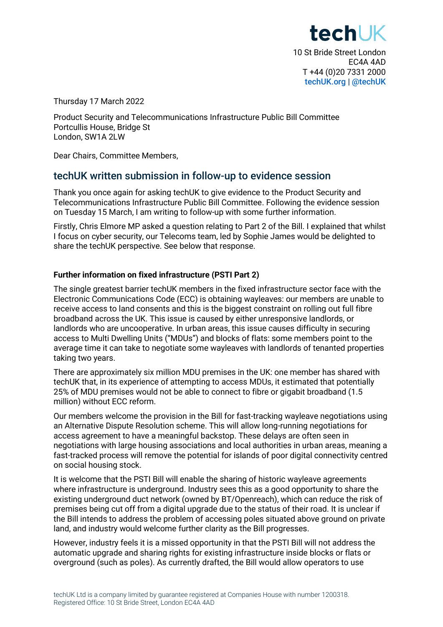tech K 10 St Bride Street London EC4A 4AD T +44 (0)20 7331 2000 [techUK.org](https://www.techuk.org/) | [@techUK](https://twitter.com/techUK)

Thursday 17 March 2022

Product Security and Telecommunications Infrastructure Public Bill Committee Portcullis House, Bridge St London, SW1A 2LW

Dear Chairs, Committee Members,

## techUK written submission in follow-up to evidence session

Thank you once again for asking techUK to give evidence to the Product Security and Telecommunications Infrastructure Public Bill Committee. Following the evidence session on Tuesday 15 March, I am writing to follow-up with some further information.

Firstly, Chris Elmore MP asked a question relating to Part 2 of the Bill. I explained that whilst I focus on cyber security, our Telecoms team, led by Sophie James would be delighted to share the techUK perspective. See below that response.

## **Further information on fixed infrastructure (PSTI Part 2)**

The single greatest barrier techUK members in the fixed infrastructure sector face with the Electronic Communications Code (ECC) is obtaining wayleaves: our members are unable to receive access to land consents and this is the biggest constraint on rolling out full fibre broadband across the UK. This issue is caused by either unresponsive landlords, or landlords who are uncooperative. In urban areas, this issue causes difficulty in securing access to Multi Dwelling Units ("MDUs") and blocks of flats: some members point to the average time it can take to negotiate some wayleaves with landlords of tenanted properties taking two years.

There are approximately six million MDU premises in the UK: one member has shared with techUK that, in its experience of attempting to access MDUs, it estimated that potentially 25% of MDU premises would not be able to connect to fibre or gigabit broadband (1.5 million) without ECC reform.

Our members welcome the provision in the Bill for fast-tracking wayleave negotiations using an Alternative Dispute Resolution scheme. This will allow long-running negotiations for access agreement to have a meaningful backstop. These delays are often seen in negotiations with large housing associations and local authorities in urban areas, meaning a fast-tracked process will remove the potential for islands of poor digital connectivity centred on social housing stock.

It is welcome that the PSTI Bill will enable the sharing of historic wayleave agreements where infrastructure is underground. Industry sees this as a good opportunity to share the existing underground duct network (owned by BT/Openreach), which can reduce the risk of premises being cut off from a digital upgrade due to the status of their road. It is unclear if the Bill intends to address the problem of accessing poles situated above ground on private land, and industry would welcome further clarity as the Bill progresses.

However, industry feels it is a missed opportunity in that the PSTI Bill will not address the automatic upgrade and sharing rights for existing infrastructure inside blocks or flats or overground (such as poles). As currently drafted, the Bill would allow operators to use